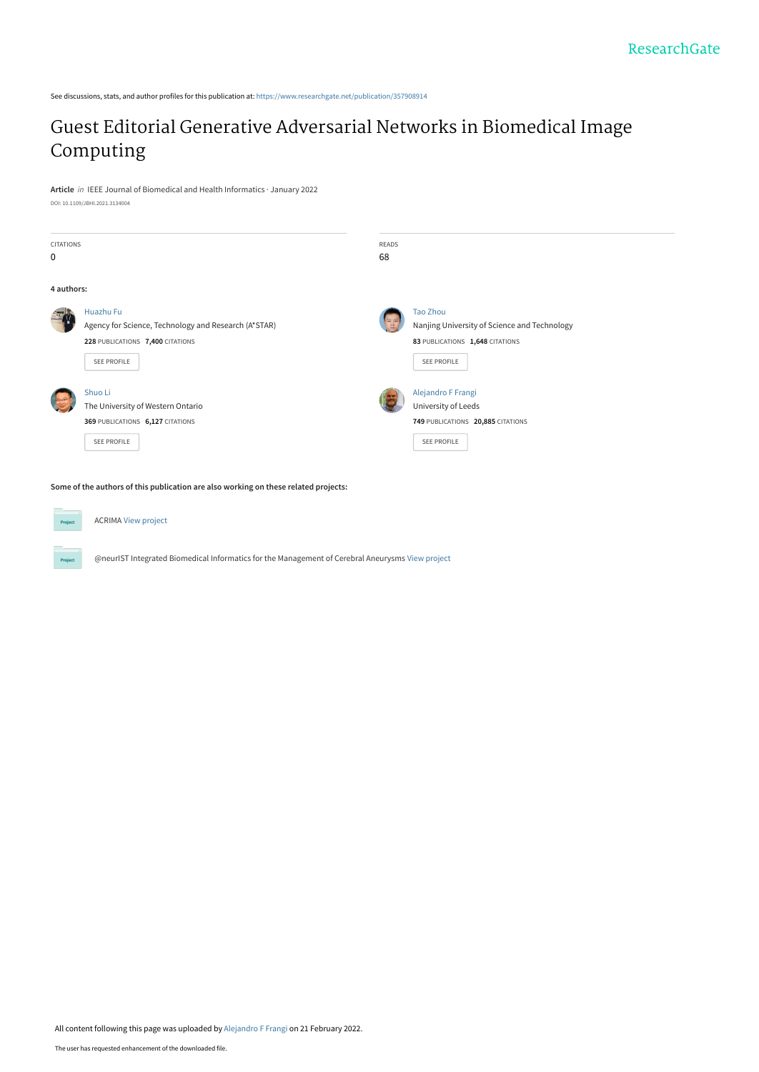See discussions, stats, and author profiles for this publication at: [https://www.researchgate.net/publication/357908914](https://www.researchgate.net/publication/357908914_Guest_Editorial_Generative_Adversarial_Networks_in_Biomedical_Image_Computing?enrichId=rgreq-5d8d588f46d9f3e4eb9530818f0c164b-XXX&enrichSource=Y292ZXJQYWdlOzM1NzkwODkxNDtBUzoxMTI1ODcxMTQ2NTQ5MjUwQDE2NDU0NDAwMDc1OTQ%3D&el=1_x_2&_esc=publicationCoverPdf)

## [Guest Editorial Generative Adversarial Networks in Biomedical Image](https://www.researchgate.net/publication/357908914_Guest_Editorial_Generative_Adversarial_Networks_in_Biomedical_Image_Computing?enrichId=rgreq-5d8d588f46d9f3e4eb9530818f0c164b-XXX&enrichSource=Y292ZXJQYWdlOzM1NzkwODkxNDtBUzoxMTI1ODcxMTQ2NTQ5MjUwQDE2NDU0NDAwMDc1OTQ%3D&el=1_x_3&_esc=publicationCoverPdf) Computing

**Article** in IEEE Journal of Biomedical and Health Informatics · January 2022 DOI: 10.1109/JBHI.2021.3134004



**Some of the authors of this publication are also working on these related projects:**

**Projec** ACRIMA [View project](https://www.researchgate.net/project/ACRIMA?enrichId=rgreq-5d8d588f46d9f3e4eb9530818f0c164b-XXX&enrichSource=Y292ZXJQYWdlOzM1NzkwODkxNDtBUzoxMTI1ODcxMTQ2NTQ5MjUwQDE2NDU0NDAwMDc1OTQ%3D&el=1_x_9&_esc=publicationCoverPdf) @neurIST Integrated Biomedical Informatics for the Management of Cerebral Aneurysms [View project](https://www.researchgate.net/project/neurIST-Integrated-Biomedical-Informatics-for-the-Management-of-Cerebral-Aneurysms?enrichId=rgreq-5d8d588f46d9f3e4eb9530818f0c164b-XXX&enrichSource=Y292ZXJQYWdlOzM1NzkwODkxNDtBUzoxMTI1ODcxMTQ2NTQ5MjUwQDE2NDU0NDAwMDc1OTQ%3D&el=1_x_9&_esc=publicationCoverPdf)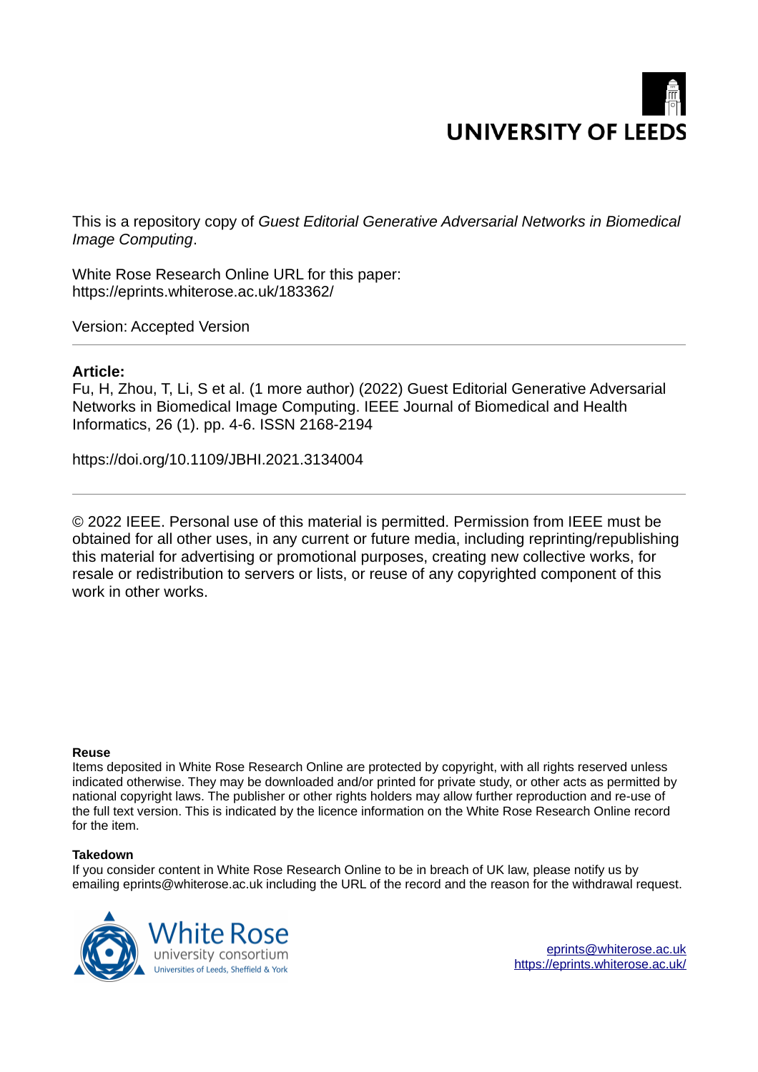# **UNIVERSITY OF LEEDS**

This is a repository copy of *Guest Editorial Generative Adversarial Networks in Biomedical Image Computing*.

White Rose Research Online URL for this paper: https://eprints.whiterose.ac.uk/183362/

Version: Accepted Version

## **Article:**

Fu, H, Zhou, T, Li, S et al. (1 more author) (2022) Guest Editorial Generative Adversarial Networks in Biomedical Image Computing. IEEE Journal of Biomedical and Health Informatics, 26 (1). pp. 4-6. ISSN 2168-2194

https://doi.org/10.1109/JBHI.2021.3134004

© 2022 IEEE. Personal use of this material is permitted. Permission from IEEE must be obtained for all other uses, in any current or future media, including reprinting/republishing this material for advertising or promotional purposes, creating new collective works, for resale or redistribution to servers or lists, or reuse of any copyrighted component of this work in other works.

## **Reuse**

Items deposited in White Rose Research Online are protected by copyright, with all rights reserved unless indicated otherwise. They may be downloaded and/or printed for private study, or other acts as permitted by national copyright laws. The publisher or other rights holders may allow further reproduction and re-use of the full text version. This is indicated by the licence information on the White Rose Research Online record for the item.

## **Takedown**

If you consider content in White Rose Research Online to be in breach of UK law, please notify us by emailing eprints@whiterose.ac.uk including the URL of the record and the reason for the withdrawal request.



eprints@whiterose.ac.uk https://eprints.whiterose.ac.uk/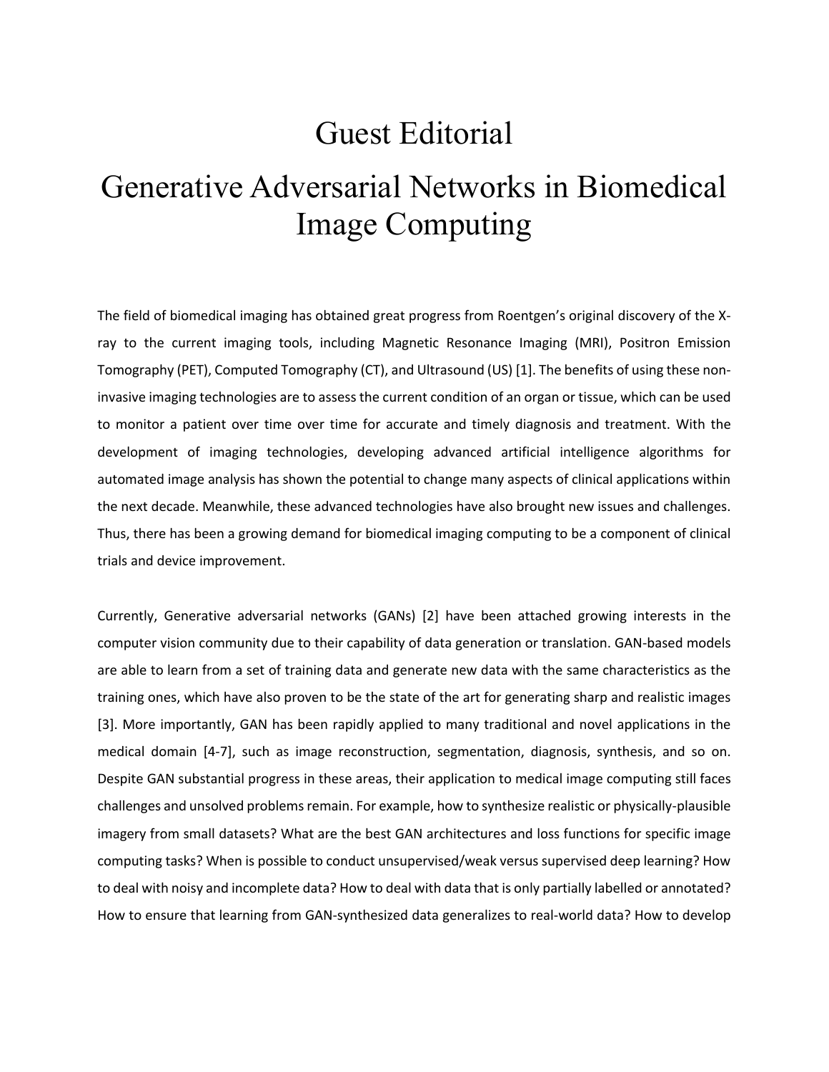## Guest Editorial

## Generative Adversarial Networks in Biomedical Image Computing

The field of biomedical imaging has obtained great progress from Roentgen's original discovery of the Xray to the current imaging tools, including Magnetic Resonance Imaging (MRI), Positron Emission Tomography (PET), Computed Tomography (CT), and Ultrasound (US) [1]. The benefits of using these noninvasive imaging technologies are to assess the current condition of an organ or tissue, which can be used to monitor a patient over time over time for accurate and timely diagnosis and treatment. With the development of imaging technologies, developing advanced artificial intelligence algorithms for automated image analysis has shown the potential to change many aspects of clinical applications within the next decade. Meanwhile, these advanced technologies have also brought new issues and challenges. Thus, there has been a growing demand for biomedical imaging computing to be a component of clinical trials and device improvement.

Currently, Generative adversarial networks (GANs) [2] have been attached growing interests in the computer vision community due to their capability of data generation or translation. GAN-based models are able to learn from a set of training data and generate new data with the same characteristics as the training ones, which have also proven to be the state of the art for generating sharp and realistic images [3]. More importantly, GAN has been rapidly applied to many traditional and novel applications in the medical domain [4-7], such as image reconstruction, segmentation, diagnosis, synthesis, and so on. Despite GAN substantial progress in these areas, their application to medical image computing still faces challenges and unsolved problems remain. For example, how to synthesize realistic or physically-plausible imagery from small datasets? What are the best GAN architectures and loss functions for specific image computing tasks? When is possible to conduct unsupervised/weak versus supervised deep learning? How to deal with noisy and incomplete data? How to deal with data that is only partially labelled or annotated? How to ensure that learning from GAN-synthesized data generalizes to real-world data? How to develop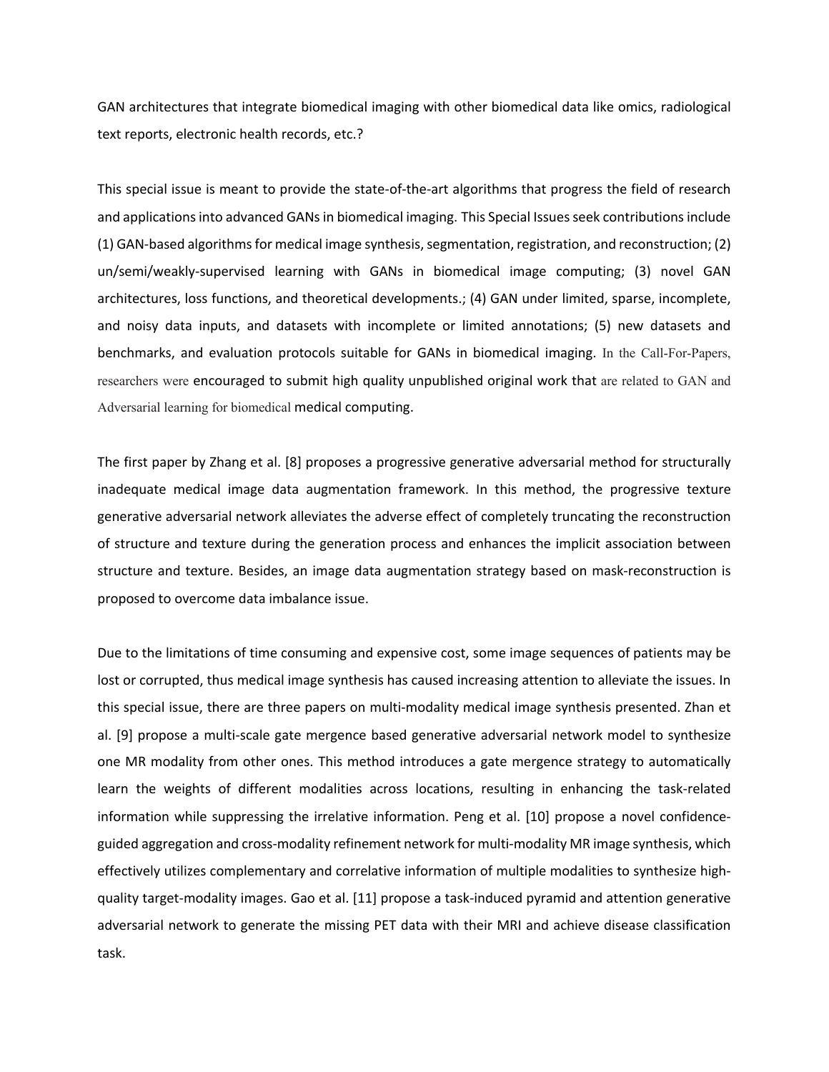GAN architectures that integrate biomedical imaging with other biomedical data like omics, radiological text reports, electronic health records, etc.?

This special issue is meant to provide the state-of-the-art algorithms that progress the field of research and applications into advanced GANs in biomedical imaging. This Special Issues seek contributions include (1) GAN-based algorithms for medical image synthesis, segmentation, registration, and reconstruction; (2) un/semi/weakly-supervised learning with GANs in biomedical image computing; (3) novel GAN architectures, loss functions, and theoretical developments.; (4) GAN under limited, sparse, incomplete, and noisy data inputs, and datasets with incomplete or limited annotations; (5) new datasets and benchmarks, and evaluation protocols suitable for GANs in biomedical imaging. In the Call-For-Papers, researchers were encouraged to submit high quality unpublished original work that are related to GAN and Adversarial learning for biomedical medical computing.

The first paper by Zhang et al. [8] proposes a progressive generative adversarial method for structurally inadequate medical image data augmentation framework. In this method, the progressive texture generative adversarial network alleviates the adverse effect of completely truncating the reconstruction of structure and texture during the generation process and enhances the implicit association between structure and texture. Besides, an image data augmentation strategy based on mask-reconstruction is proposed to overcome data imbalance issue.

Due to the limitations of time consuming and expensive cost, some image sequences of patients may be lost or corrupted, thus medical image synthesis has caused increasing attention to alleviate the issues. In this special issue, there are three papers on multi-modality medical image synthesis presented. Zhan et al. [9] propose a multi-scale gate mergence based generative adversarial network model to synthesize one MR modality from other ones. This method introduces a gate mergence strategy to automatically learn the weights of different modalities across locations, resulting in enhancing the task-related information while suppressing the irrelative information. Peng et al. [10] propose a novel confidenceguided aggregation and cross-modality refinement network for multi-modality MR image synthesis, which effectively utilizes complementary and correlative information of multiple modalities to synthesize highquality target-modality images. Gao et al. [11] propose a task-induced pyramid and attention generative adversarial network to generate the missing PET data with their MRI and achieve disease classification task.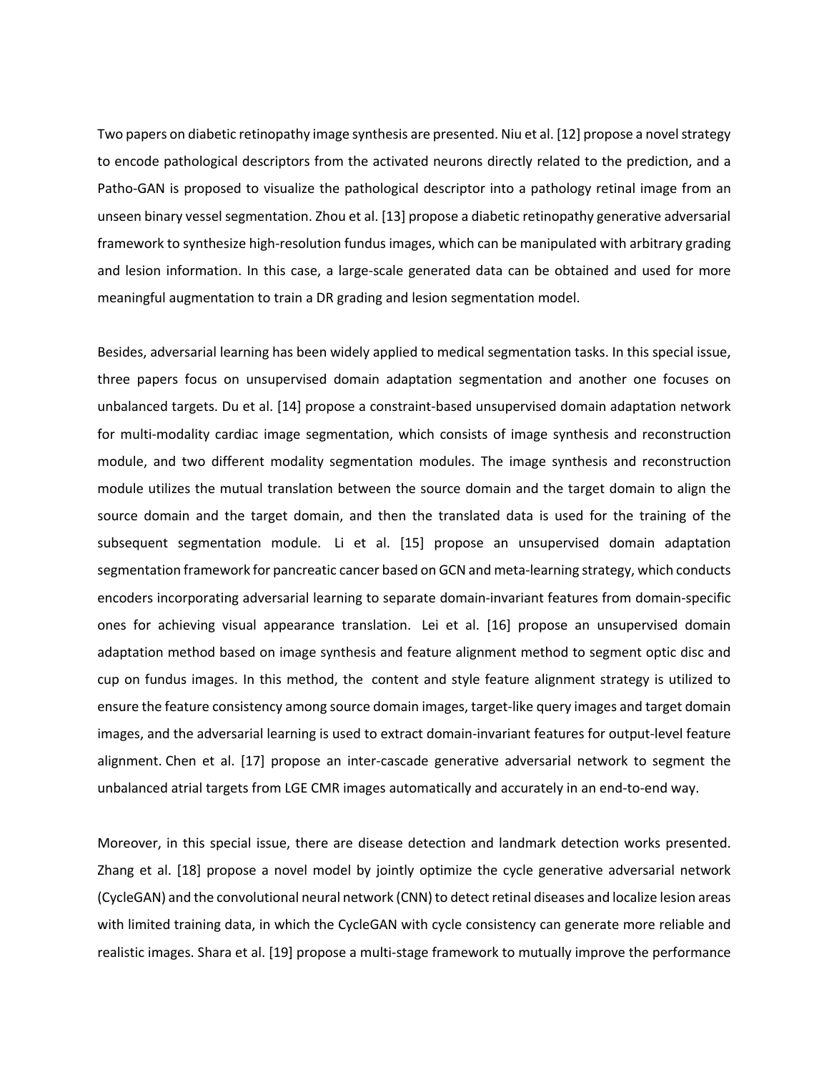Two papers on diabetic retinopathy image synthesis are presented. Niu et al. [12] propose a novel strategy to encode pathological descriptors from the activated neurons directly related to the prediction, and a Patho-GAN is proposed to visualize the pathological descriptor into a pathology retinal image from an unseen binary vessel segmentation. Zhou et al. [13] propose a diabetic retinopathy generative adversarial framework to synthesize high-resolution fundus images, which can be manipulated with arbitrary grading and lesion information. In this case, a large-scale generated data can be obtained and used for more meaningful augmentation to train a DR grading and lesion segmentation model.

Besides, adversarial learning has been widely applied to medical segmentation tasks. In this special issue, three papers focus on unsupervised domain adaptation segmentation and another one focuses on unbalanced targets. Du et al. [14] propose a constraint-based unsupervised domain adaptation network for multi-modality cardiac image segmentation, which consists of image synthesis and reconstruction module, and two different modality segmentation modules. The image synthesis and reconstruction module utilizes the mutual translation between the source domain and the target domain to align the source domain and the target domain, and then the translated data is used for the training of the subsequent segmentation module. Li et al. [15] propose an unsupervised domain adaptation segmentation framework for pancreatic cancer based on GCN and meta-learning strategy, which conducts encoders incorporating adversarial learning to separate domain-invariant features from domain-specific ones for achieving visual appearance translation. Lei et al. [16] propose an unsupervised domain adaptation method based on image synthesis and feature alignment method to segment optic disc and cup on fundus images. In this method, the content and style feature alignment strategy is utilized to ensure the feature consistency among source domain images, target-like query images and target domain images, and the adversarial learning is used to extract domain-invariant features for output-level feature alignment. Chen et al. [17] propose an inter-cascade generative adversarial network to segment the unbalanced atrial targets from LGE CMR images automatically and accurately in an end-to-end way.

Moreover, in this special issue, there are disease detection and landmark detection works presented. Zhang et al. [18] propose a novel model by jointly optimize the cycle generative adversarial network (CycleGAN) and the convolutional neural network (CNN) to detect retinal diseases and localize lesion areas with limited training data, in which the CycleGAN with cycle consistency can generate more reliable and realistic images. Shara et al. [19] propose a multi-stage framework to mutually improve the performance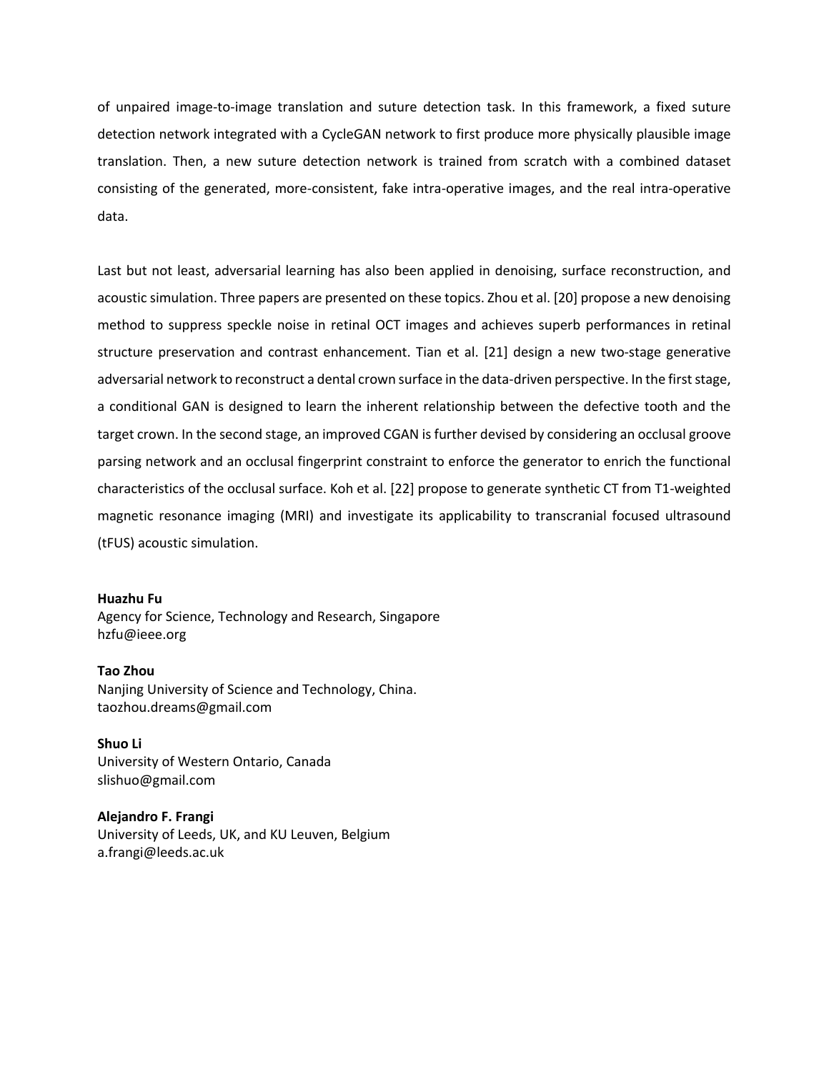of unpaired image-to-image translation and suture detection task. In this framework, a fixed suture detection network integrated with a CycleGAN network to first produce more physically plausible image translation. Then, a new suture detection network is trained from scratch with a combined dataset consisting of the generated, more-consistent, fake intra-operative images, and the real intra-operative data.

Last but not least, adversarial learning has also been applied in denoising, surface reconstruction, and acoustic simulation. Three papers are presented on these topics. Zhou et al. [20] propose a new denoising method to suppress speckle noise in retinal OCT images and achieves superb performances in retinal structure preservation and contrast enhancement. Tian et al. [21] design a new two-stage generative adversarial network to reconstruct a dental crown surface in the data-driven perspective. In the first stage, a conditional GAN is designed to learn the inherent relationship between the defective tooth and the target crown. In the second stage, an improved CGAN is further devised by considering an occlusal groove parsing network and an occlusal fingerprint constraint to enforce the generator to enrich the functional characteristics of the occlusal surface. Koh et al. [22] propose to generate synthetic CT from T1-weighted magnetic resonance imaging (MRI) and investigate its applicability to transcranial focused ultrasound (tFUS) acoustic simulation.

#### **Huazhu Fu**

Agency for Science, Technology and Research, Singapore hzfu@ieee.org

## **Tao Zhou**

Nanjing University of Science and Technology, China. taozhou.dreams@gmail.com

**Shuo Li** University of Western Ontario, Canada slishuo@gmail.com

**Alejandro F. Frangi** University of Leeds, UK, and KU Leuven, Belgium a.frangi@leeds.ac.uk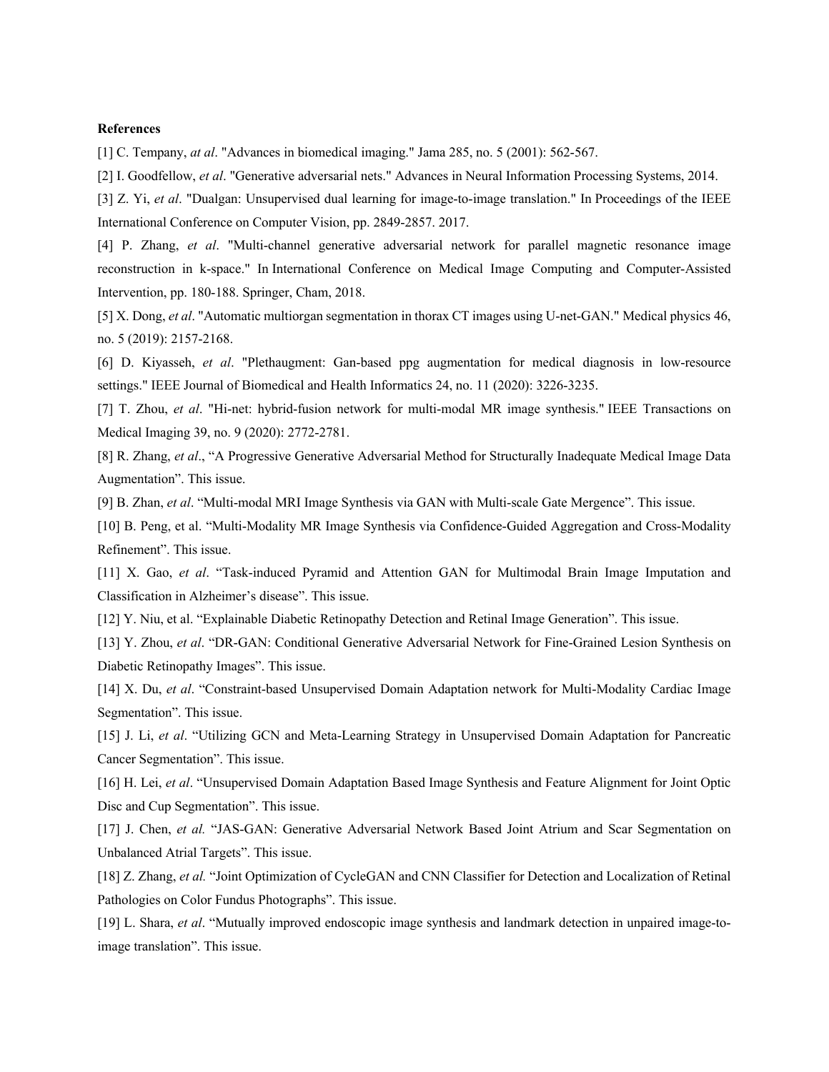#### **References**

[1] C. Tempany, *at al*. "Advances in biomedical imaging." Jama 285, no. 5 (2001): 562-567.

[2] I. Goodfellow, *et al*. "Generative adversarial nets." Advances in Neural Information Processing Systems, 2014.

[3] Z. Yi, *et al*. "Dualgan: Unsupervised dual learning for image-to-image translation." In Proceedings of the IEEE International Conference on Computer Vision, pp. 2849-2857. 2017.

[4] P. Zhang, *et al*. "Multi-channel generative adversarial network for parallel magnetic resonance image reconstruction in k-space." In International Conference on Medical Image Computing and Computer-Assisted Intervention, pp. 180-188. Springer, Cham, 2018.

[5] X. Dong, *et al*. "Automatic multiorgan segmentation in thorax CT images using U‐net‐GAN." Medical physics 46, no. 5 (2019): 2157-2168.

[6] D. Kiyasseh, *et al*. "Plethaugment: Gan-based ppg augmentation for medical diagnosis in low-resource settings." IEEE Journal of Biomedical and Health Informatics 24, no. 11 (2020): 3226-3235.

[7] T. Zhou, *et al*. "Hi-net: hybrid-fusion network for multi-modal MR image synthesis." IEEE Transactions on Medical Imaging 39, no. 9 (2020): 2772-2781.

[8] R. Zhang, *et al*., "A Progressive Generative Adversarial Method for Structurally Inadequate Medical Image Data Augmentation". This issue.

[9] B. Zhan, *et al*. "Multi-modal MRI Image Synthesis via GAN with Multi-scale Gate Mergence". This issue.

[10] B. Peng, et al. "Multi-Modality MR Image Synthesis via Confidence-Guided Aggregation and Cross-Modality Refinement". This issue.

[11] X. Gao, *et al*. "Task-induced Pyramid and Attention GAN for Multimodal Brain Image Imputation and Classification in Alzheimer's disease". This issue.

[12] Y. Niu, et al. "Explainable Diabetic Retinopathy Detection and Retinal Image Generation". This issue.

[13] Y. Zhou, *et al*. "DR-GAN: Conditional Generative Adversarial Network for Fine-Grained Lesion Synthesis on Diabetic Retinopathy Images". This issue.

[14] X. Du, *et al*. "Constraint-based Unsupervised Domain Adaptation network for Multi-Modality Cardiac Image Segmentation". This issue.

[15] J. Li, *et al*. "Utilizing GCN and Meta-Learning Strategy in Unsupervised Domain Adaptation for Pancreatic Cancer Segmentation". This issue.

[16] H. Lei, *et al*. "Unsupervised Domain Adaptation Based Image Synthesis and Feature Alignment for Joint Optic Disc and Cup Segmentation". This issue.

[17] J. Chen, *et al.* "JAS-GAN: Generative Adversarial Network Based Joint Atrium and Scar Segmentation on Unbalanced Atrial Targets". This issue.

[18] Z. Zhang, *et al.* "Joint Optimization of CycleGAN and CNN Classifier for Detection and Localization of Retinal Pathologies on Color Fundus Photographs". This issue.

[19] L. Shara, *et al*. "Mutually improved endoscopic image synthesis and landmark detection in unpaired image-toimage translation". This issue.